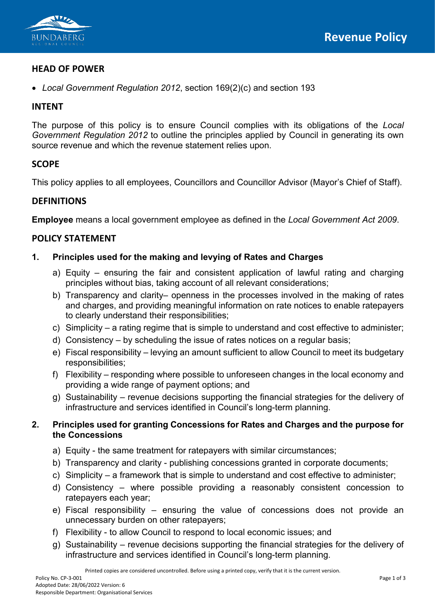

# **HEAD OF POWER**

• *Local Government Regulation 2012*, section 169(2)(c) and section 193

### **INTENT**

The purpose of this policy is to ensure Council complies with its obligations of the *Local Government Regulation 2012* to outline the principles applied by Council in generating its own source revenue and which the revenue statement relies upon.

# **SCOPE**

This policy applies to all employees, Councillors and Councillor Advisor (Mayor's Chief of Staff).

# **DEFINITIONS**

**Employee** means a local government employee as defined in the *Local Government Act 2009*.

# **POLICY STATEMENT**

#### **1. Principles used for the making and levying of Rates and Charges**

- a) Equity ensuring the fair and consistent application of lawful rating and charging principles without bias, taking account of all relevant considerations;
- b) Transparency and clarity– openness in the processes involved in the making of rates and charges, and providing meaningful information on rate notices to enable ratepayers to clearly understand their responsibilities;
- c) Simplicity a rating regime that is simple to understand and cost effective to administer;
- d) Consistency by scheduling the issue of rates notices on a regular basis;
- e) Fiscal responsibility levying an amount sufficient to allow Council to meet its budgetary responsibilities;
- f) Flexibility responding where possible to unforeseen changes in the local economy and providing a wide range of payment options; and
- g) Sustainability revenue decisions supporting the financial strategies for the delivery of infrastructure and services identified in Council's long-term planning.

#### **2. Principles used for granting Concessions for Rates and Charges and the purpose for the Concessions**

- a) Equity the same treatment for ratepayers with similar circumstances;
- b) Transparency and clarity publishing concessions granted in corporate documents;
- c) Simplicity a framework that is simple to understand and cost effective to administer;
- d) Consistency where possible providing a reasonably consistent concession to ratepayers each year;
- e) Fiscal responsibility ensuring the value of concessions does not provide an unnecessary burden on other ratepayers;
- f) Flexibility to allow Council to respond to local economic issues; and
- g) Sustainability revenue decisions supporting the financial strategies for the delivery of infrastructure and services identified in Council's long-term planning.

Printed copies are considered uncontrolled. Before using a printed copy, verify that it is the current version.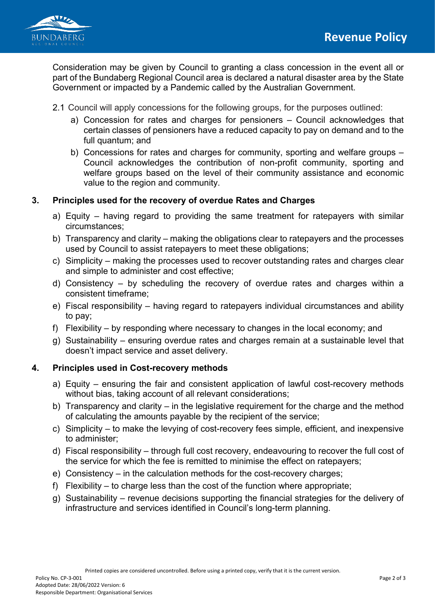

Consideration may be given by Council to granting a class concession in the event all or part of the Bundaberg Regional Council area is declared a natural disaster area by the State Government or impacted by a Pandemic called by the Australian Government.

- 2.1 Council will apply concessions for the following groups, for the purposes outlined:
	- a) Concession for rates and charges for pensioners Council acknowledges that certain classes of pensioners have a reduced capacity to pay on demand and to the full quantum; and
	- b) Concessions for rates and charges for community, sporting and welfare groups Council acknowledges the contribution of non-profit community, sporting and welfare groups based on the level of their community assistance and economic value to the region and community.

# **3. Principles used for the recovery of overdue Rates and Charges**

- a) Equity having regard to providing the same treatment for ratepayers with similar circumstances;
- b) Transparency and clarity making the obligations clear to ratepayers and the processes used by Council to assist ratepayers to meet these obligations;
- c) Simplicity making the processes used to recover outstanding rates and charges clear and simple to administer and cost effective;
- d) Consistency by scheduling the recovery of overdue rates and charges within a consistent timeframe;
- e) Fiscal responsibility having regard to ratepayers individual circumstances and ability to pay;
- f) Flexibility by responding where necessary to changes in the local economy; and
- g) Sustainability ensuring overdue rates and charges remain at a sustainable level that doesn't impact service and asset delivery.

#### **4. Principles used in Cost-recovery methods**

- a) Equity ensuring the fair and consistent application of lawful cost-recovery methods without bias, taking account of all relevant considerations;
- b) Transparency and clarity in the legislative requirement for the charge and the method of calculating the amounts payable by the recipient of the service;
- c) Simplicity to make the levying of cost-recovery fees simple, efficient, and inexpensive to administer;
- d) Fiscal responsibility through full cost recovery, endeavouring to recover the full cost of the service for which the fee is remitted to minimise the effect on ratepayers;
- e) Consistency in the calculation methods for the cost-recovery charges;
- f) Flexibility to charge less than the cost of the function where appropriate;
- g) Sustainability revenue decisions supporting the financial strategies for the delivery of infrastructure and services identified in Council's long-term planning.